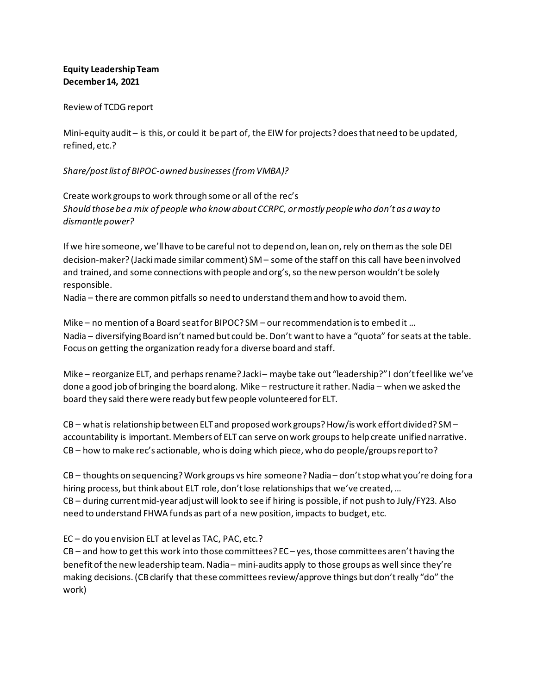## **Equity Leadership Team December 14, 2021**

## Review of TCDG report

Mini-equity audit – is this, or could it be part of, the EIW for projects? does that need to be updated, refined, etc.?

## *Share/post list of BIPOC-owned businesses (from VMBA)?*

Create work groups to work through some or all of the rec's *Should those be a mix of people who know about CCRPC, or mostly people who don't as a way to dismantle power?*

If we hire someone, we'll have to be careful not to depend on, lean on, rely on them as the sole DEI decision-maker? (Jacki made similar comment) SM – some of the staff on this call have been involved and trained, and some connections with people and org's, so the new person wouldn't be solely responsible.

Nadia – there are common pitfalls so need to understand them and how to avoid them.

Mike – no mention of a Board seat for BIPOC? SM – our recommendation is to embed it … Nadia – diversifying Board isn't named but could be. Don't want to have a "quota" for seats at the table. Focus on getting the organization ready for a diverse board and staff.

Mike – reorganize ELT, and perhaps rename? Jacki – maybe take out "leadership?" I don't feel like we've done a good job of bringing the board along. Mike – restructure it rather. Nadia – when we asked the board they said there were ready but few people volunteered for ELT.

CB – what is relationship between ELT and proposed work groups? How/is work effort divided? SM – accountability is important. Members of ELT can serve on work groups to help create unified narrative. CB – how to make rec's actionable, who is doing which piece, who do people/groups report to?

CB – thoughts on sequencing? Work groups vs hire someone? Nadia – don't stop what you're doing for a hiring process, but think about ELT role, don't lose relationships that we've created, … CB – during current mid-year adjust will look to see if hiring is possible, if not push to July/FY23. Also need to understand FHWA funds as part of a new position, impacts to budget, etc.

## EC – do you envision ELT at level as TAC, PAC, etc.?

 $CB$  – and how to get this work into those committees?  $EC$  – yes, those committees aren't having the benefit of the new leadership team. Nadia – mini-audits apply to those groups as well since they're making decisions. (CB clarify that these committees review/approve things but don't really "do" the work)